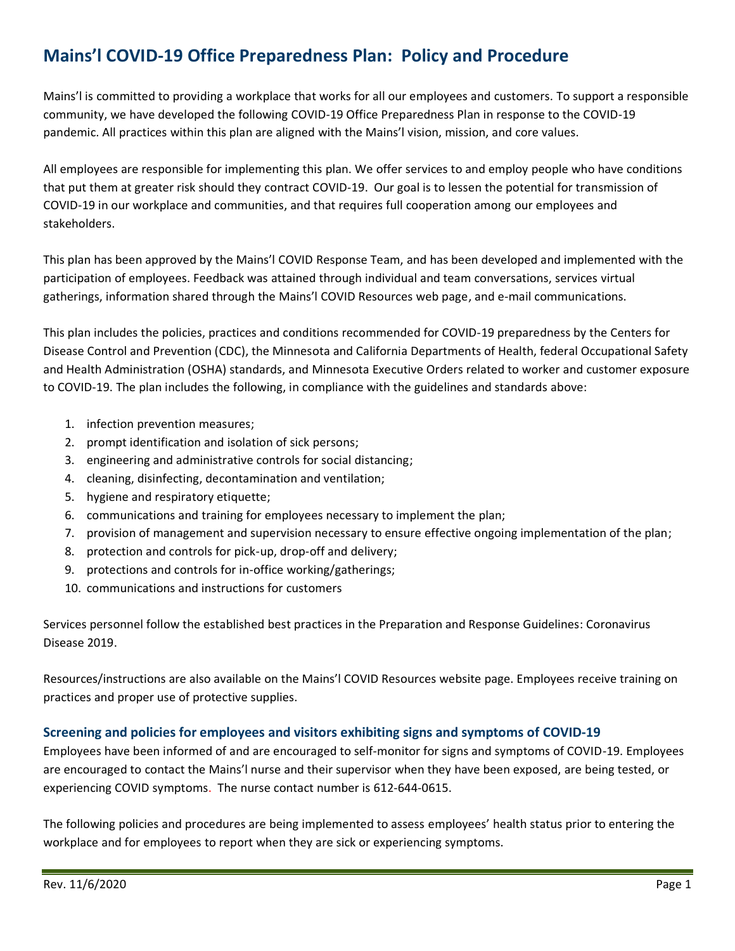# **Mains'l COVID-19 Office Preparedness Plan: Policy and Procedure**

Mains'l is committed to providing a workplace that works for all our employees and customers. To support a responsible community, we have developed the following COVID-19 Office Preparedness Plan in response to the COVID-19 pandemic. All practices within this plan are aligned with the Mains'l vision, mission, and core values.

All employees are responsible for implementing this plan. We offer services to and employ people who have conditions that put them at greater risk should they contract COVID-19. Our goal is to lessen the potential for transmission of COVID-19 in our workplace and communities, and that requires full cooperation among our employees and stakeholders.

This plan has been approved by the Mains'l COVID Response Team, and has been developed and implemented with the participation of employees. Feedback was attained through individual and team conversations, services virtual gatherings, information shared through the Mains'l COVID Resources web page, and e-mail communications.

This plan includes the policies, practices and conditions recommended for COVID-19 preparedness by the Centers for Disease Control and Prevention (CDC), the Minnesota and California Departments of Health, federal Occupational Safety and Health Administration (OSHA) standards, and Minnesota Executive Orders related to worker and customer exposure to COVID-19. The plan includes the following, in compliance with the guidelines and standards above:

- 1. infection prevention measures;
- 2. prompt identification and isolation of sick persons;
- 3. engineering and administrative controls for social distancing;
- 4. cleaning, disinfecting, decontamination and ventilation;
- 5. hygiene and respiratory etiquette;
- 6. communications and training for employees necessary to implement the plan;
- 7. provision of management and supervision necessary to ensure effective ongoing implementation of the plan;
- 8. protection and controls for pick-up, drop-off and delivery;
- 9. protections and controls for in-office working/gatherings;
- 10. communications and instructions for customers

Services personnel follow the established best practices in the Preparation and Response Guidelines: Coronavirus Disease 2019.

Resources/instructions are also available on the Mains'l COVID Resources website page. Employees receive training on practices and proper use of protective supplies.

## **Screening and policies for employees and visitors exhibiting signs and symptoms of COVID-19**

Employees have been informed of and are encouraged to self-monitor for signs and symptoms of COVID-19. Employees are encouraged to contact the Mains'l nurse and their supervisor when they have been exposed, are being tested, or experiencing COVID symptoms. The nurse contact number is 612-644-0615.

The following policies and procedures are being implemented to assess employees' health status prior to entering the workplace and for employees to report when they are sick or experiencing symptoms.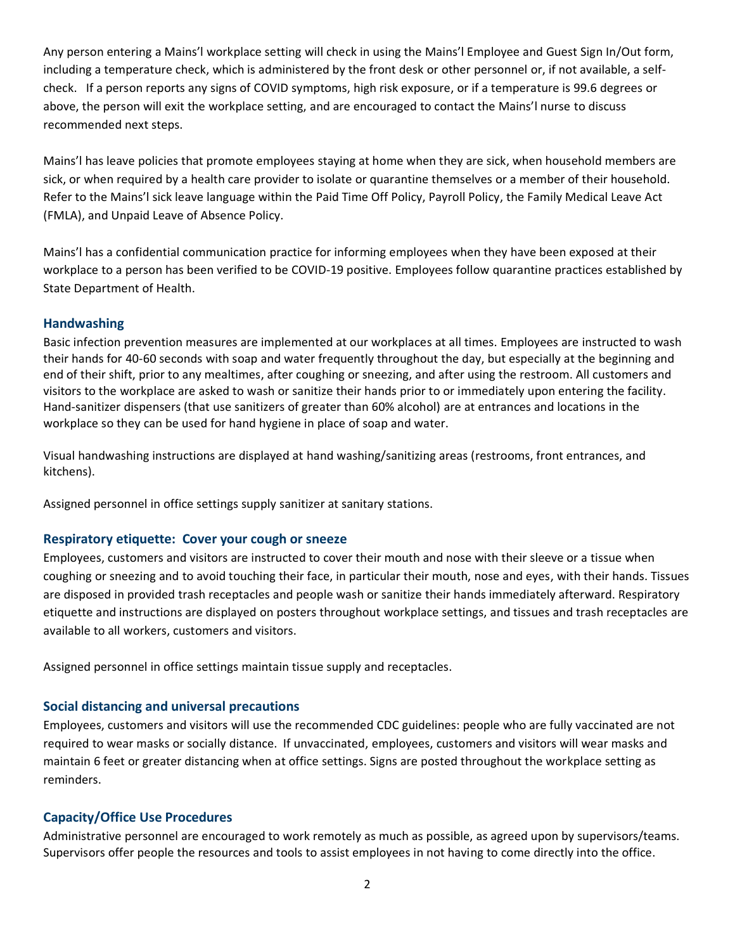Any person entering a Mains'l workplace setting will check in using the Mains'l Employee and Guest Sign In/Out form, including a temperature check, which is administered by the front desk or other personnel or, if not available, a selfcheck. If a person reports any signs of COVID symptoms, high risk exposure, or if a temperature is 99.6 degrees or above, the person will exit the workplace setting, and are encouraged to contact the Mains'l nurse to discuss recommended next steps.

Mains'l has leave policies that promote employees staying at home when they are sick, when household members are sick, or when required by a health care provider to isolate or quarantine themselves or a member of their household. Refer to the Mains'l sick leave language within the Paid Time Off Policy, Payroll Policy, the Family Medical Leave Act (FMLA), and Unpaid Leave of Absence Policy.

Mains'l has a confidential communication practice for informing employees when they have been exposed at their workplace to a person has been verified to be COVID-19 positive. Employees follow quarantine practices established by State Department of Health.

### **Handwashing**

Basic infection prevention measures are implemented at our workplaces at all times. Employees are instructed to wash their hands for 40-60 seconds with soap and water frequently throughout the day, but especially at the beginning and end of their shift, prior to any mealtimes, after coughing or sneezing, and after using the restroom. All customers and visitors to the workplace are asked to wash or sanitize their hands prior to or immediately upon entering the facility. Hand-sanitizer dispensers (that use sanitizers of greater than 60% alcohol) are at entrances and locations in the workplace so they can be used for hand hygiene in place of soap and water.

Visual handwashing instructions are displayed at hand washing/sanitizing areas (restrooms, front entrances, and kitchens).

Assigned personnel in office settings supply sanitizer at sanitary stations.

#### **Respiratory etiquette: Cover your cough or sneeze**

Employees, customers and visitors are instructed to cover their mouth and nose with their sleeve or a tissue when coughing or sneezing and to avoid touching their face, in particular their mouth, nose and eyes, with their hands. Tissues are disposed in provided trash receptacles and people wash or sanitize their hands immediately afterward. Respiratory etiquette and instructions are displayed on posters throughout workplace settings, and tissues and trash receptacles are available to all workers, customers and visitors.

Assigned personnel in office settings maintain tissue supply and receptacles.

#### **Social distancing and universal precautions**

Employees, customers and visitors will use the recommended CDC guidelines: people who are fully vaccinated are not required to wear masks or socially distance. If unvaccinated, employees, customers and visitors will wear masks and maintain 6 feet or greater distancing when at office settings. Signs are posted throughout the workplace setting as reminders.

#### **Capacity/Office Use Procedures**

Administrative personnel are encouraged to work remotely as much as possible, as agreed upon by supervisors/teams. Supervisors offer people the resources and tools to assist employees in not having to come directly into the office.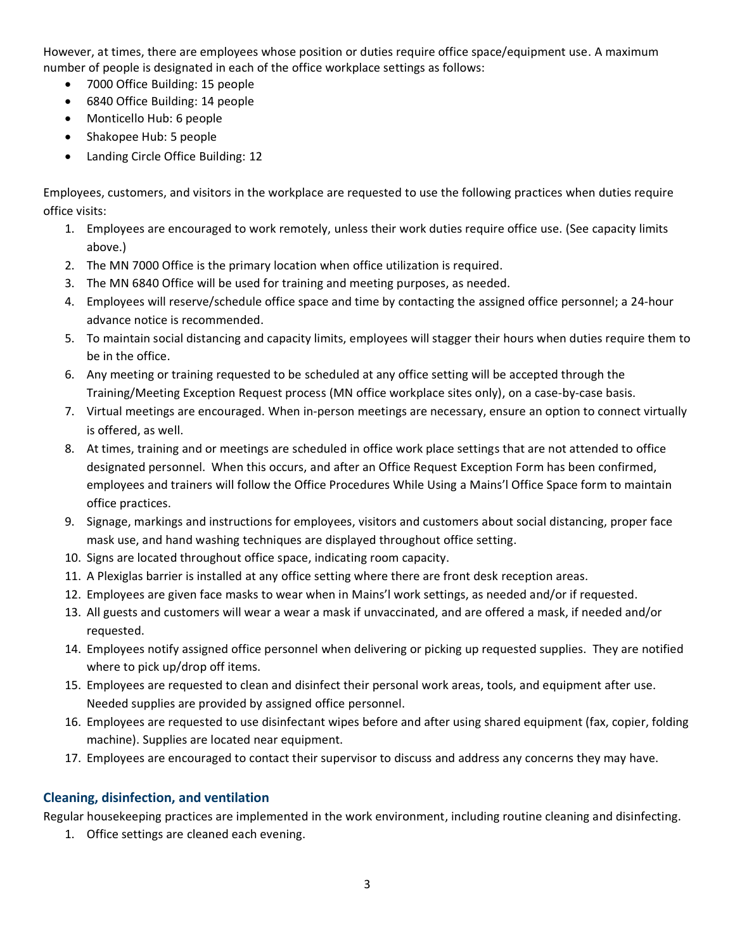However, at times, there are employees whose position or duties require office space/equipment use. A maximum number of people is designated in each of the office workplace settings as follows:

- 7000 Office Building: 15 people
- 6840 Office Building: 14 people
- Monticello Hub: 6 people
- Shakopee Hub: 5 people
- Landing Circle Office Building: 12

Employees, customers, and visitors in the workplace are requested to use the following practices when duties require office visits:

- 1. Employees are encouraged to work remotely, unless their work duties require office use. (See capacity limits above.)
- 2. The MN 7000 Office is the primary location when office utilization is required.
- 3. The MN 6840 Office will be used for training and meeting purposes, as needed.
- 4. Employees will reserve/schedule office space and time by contacting the assigned office personnel; a 24-hour advance notice is recommended.
- 5. To maintain social distancing and capacity limits, employees will stagger their hours when duties require them to be in the office.
- 6. Any meeting or training requested to be scheduled at any office setting will be accepted through the Training/Meeting Exception Request process (MN office workplace sites only), on a case-by-case basis.
- 7. Virtual meetings are encouraged. When in-person meetings are necessary, ensure an option to connect virtually is offered, as well.
- 8. At times, training and or meetings are scheduled in office work place settings that are not attended to office designated personnel. When this occurs, and after an Office Request Exception Form has been confirmed, employees and trainers will follow the Office Procedures While Using a Mains'l Office Space form to maintain office practices.
- 9. Signage, markings and instructions for employees, visitors and customers about social distancing, proper face mask use, and hand washing techniques are displayed throughout office setting.
- 10. Signs are located throughout office space, indicating room capacity.
- 11. A Plexiglas barrier is installed at any office setting where there are front desk reception areas.
- 12. Employees are given face masks to wear when in Mains'l work settings, as needed and/or if requested.
- 13. All guests and customers will wear a wear a mask if unvaccinated, and are offered a mask, if needed and/or requested.
- 14. Employees notify assigned office personnel when delivering or picking up requested supplies. They are notified where to pick up/drop off items.
- 15. Employees are requested to clean and disinfect their personal work areas, tools, and equipment after use. Needed supplies are provided by assigned office personnel.
- 16. Employees are requested to use disinfectant wipes before and after using shared equipment (fax, copier, folding machine). Supplies are located near equipment.
- 17. Employees are encouraged to contact their supervisor to discuss and address any concerns they may have.

## **Cleaning, disinfection, and ventilation**

Regular housekeeping practices are implemented in the work environment, including routine cleaning and disinfecting.

1. Office settings are cleaned each evening.